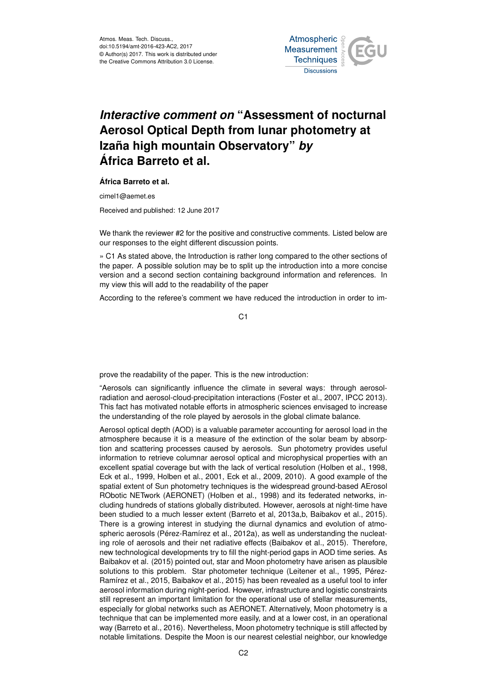

## *Interactive comment on* **"Assessment of nocturnal Aerosol Optical Depth from lunar photometry at Izaña high mountain Observatory"** *by* **África Barreto et al.**

## **África Barreto et al.**

cimel1@aemet.es

Received and published: 12 June 2017

We thank the reviewer #2 for the positive and constructive comments. Listed below are our responses to the eight different discussion points.

» C1 As stated above, the Introduction is rather long compared to the other sections of the paper. A possible solution may be to split up the introduction into a more concise version and a second section containing background information and references. In my view this will add to the readability of the paper

According to the referee's comment we have reduced the introduction in order to im-

C1

prove the readability of the paper. This is the new introduction:

"Aerosols can significantly influence the climate in several ways: through aerosolradiation and aerosol-cloud-precipitation interactions (Foster et al., 2007, IPCC 2013). This fact has motivated notable efforts in atmospheric sciences envisaged to increase the understanding of the role played by aerosols in the global climate balance.

Aerosol optical depth (AOD) is a valuable parameter accounting for aerosol load in the atmosphere because it is a measure of the extinction of the solar beam by absorption and scattering processes caused by aerosols. Sun photometry provides useful information to retrieve columnar aerosol optical and microphysical properties with an excellent spatial coverage but with the lack of vertical resolution (Holben et al., 1998, Eck et al., 1999, Holben et al., 2001, Eck et al., 2009, 2010). A good example of the spatial extent of Sun photometry techniques is the widespread ground-based AErosol RObotic NETwork (AERONET) (Holben et al., 1998) and its federated networks, including hundreds of stations globally distributed. However, aerosols at night-time have been studied to a much lesser extent (Barreto et al, 2013a,b, Baibakov et al., 2015). There is a growing interest in studying the diurnal dynamics and evolution of atmospheric aerosols (Pérez-Ramírez et al., 2012a), as well as understanding the nucleating role of aerosols and their net radiative effects (Baibakov et al., 2015). Therefore, new technological developments try to fill the night-period gaps in AOD time series. As Baibakov et al. (2015) pointed out, star and Moon photometry have arisen as plausible solutions to this problem. Star photometer technique (Leitener et al., 1995, Pérez-Ramírez et al., 2015, Baibakov et al., 2015) has been revealed as a useful tool to infer aerosol information during night-period. However, infrastructure and logistic constraints still represent an important limitation for the operational use of stellar measurements, especially for global networks such as AERONET. Alternatively, Moon photometry is a technique that can be implemented more easily, and at a lower cost, in an operational way (Barreto et al., 2016). Nevertheless, Moon photometry technique is still affected by notable limitations. Despite the Moon is our nearest celestial neighbor, our knowledge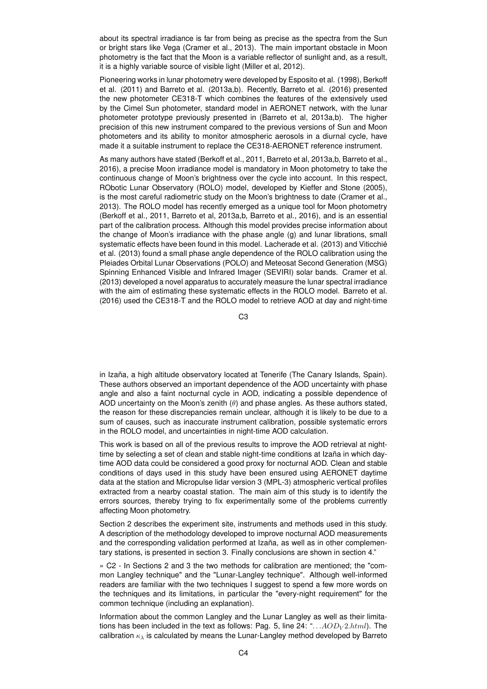about its spectral irradiance is far from being as precise as the spectra from the Sun or bright stars like Vega (Cramer et al., 2013). The main important obstacle in Moon photometry is the fact that the Moon is a variable reflector of sunlight and, as a result, it is a highly variable source of visible light (Miller et al, 2012).

Pioneering works in lunar photometry were developed by Esposito et al. (1998), Berkoff et al. (2011) and Barreto et al. (2013a,b). Recently, Barreto et al. (2016) presented the new photometer CE318-T which combines the features of the extensively used by the Cimel Sun photometer, standard model in AERONET network, with the lunar photometer prototype previously presented in (Barreto et al, 2013a,b). The higher precision of this new instrument compared to the previous versions of Sun and Moon photometers and its ability to monitor atmospheric aerosols in a diurnal cycle, have made it a suitable instrument to replace the CE318-AERONET reference instrument.

As many authors have stated (Berkoff et al., 2011, Barreto et al, 2013a,b, Barreto et al., 2016), a precise Moon irradiance model is mandatory in Moon photometry to take the continuous change of Moon's brightness over the cycle into account. In this respect, RObotic Lunar Observatory (ROLO) model, developed by Kieffer and Stone (2005), is the most careful radiometric study on the Moon's brightness to date (Cramer et al., 2013). The ROLO model has recently emerged as a unique tool for Moon photometry (Berkoff et al., 2011, Barreto et al, 2013a,b, Barreto et al., 2016), and is an essential part of the calibration process. Although this model provides precise information about the change of Moon's irradiance with the phase angle (g) and lunar librations, small systematic effects have been found in this model. Lacherade et al. (2013) and Viticchié et al. (2013) found a small phase angle dependence of the ROLO calibration using the Pleiades Orbital Lunar Observations (POLO) and Meteosat Second Generation (MSG) Spinning Enhanced Visible and Infrared Imager (SEVIRI) solar bands. Cramer et al. (2013) developed a novel apparatus to accurately measure the lunar spectral irradiance with the aim of estimating these systematic effects in the ROLO model. Barreto et al. (2016) used the CE318-T and the ROLO model to retrieve AOD at day and night-time

C3

in Izaña, a high altitude observatory located at Tenerife (The Canary Islands, Spain). These authors observed an important dependence of the AOD uncertainty with phase angle and also a faint nocturnal cycle in AOD, indicating a possible dependence of AOD uncertainty on the Moon's zenith  $(\theta)$  and phase angles. As these authors stated, the reason for these discrepancies remain unclear, although it is likely to be due to a sum of causes, such as inaccurate instrument calibration, possible systematic errors in the ROLO model, and uncertainties in night-time AOD calculation.

This work is based on all of the previous results to improve the AOD retrieval at nighttime by selecting a set of clean and stable night-time conditions at Izaña in which daytime AOD data could be considered a good proxy for nocturnal AOD. Clean and stable conditions of days used in this study have been ensured using AERONET daytime data at the station and Micropulse lidar version 3 (MPL-3) atmospheric vertical profiles extracted from a nearby coastal station. The main aim of this study is to identify the errors sources, thereby trying to fix experimentally some of the problems currently affecting Moon photometry.

Section 2 describes the experiment site, instruments and methods used in this study. A description of the methodology developed to improve nocturnal AOD measurements and the corresponding validation performed at Izaña, as well as in other complementary stations, is presented in section 3. Finally conclusions are shown in section 4."

» C2 - In Sections 2 and 3 the two methods for calibration are mentioned; the "common Langley technique" and the "Lunar-Langley technique". Although well-informed readers are familiar with the two techniques I suggest to spend a few more words on the techniques and its limitations, in particular the "every-night requirement" for the common technique (including an explanation).

Information about the common Langley and the Lunar Langley as well as their limitations has been included in the text as follows: Pag. 5, line 24: " $\ldots AOD_V 2.html$ . The calibration  $\kappa_{\lambda}$  is calculated by means the Lunar-Langley method developed by Barreto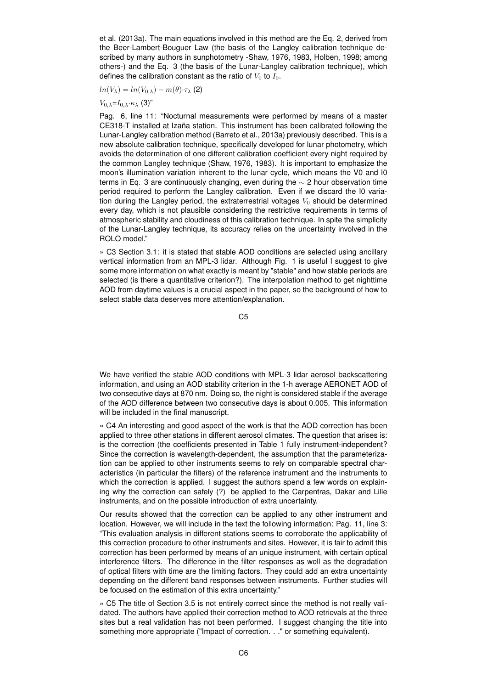et al. (2013a). The main equations involved in this method are the Eq. 2, derived from the Beer-Lambert-Bouguer Law (the basis of the Langley calibration technique described by many authors in sunphotometry -Shaw, 1976, 1983, Holben, 1998; among others-) and the Eq. 3 (the basis of the Lunar-Langley calibration technique), which defines the calibration constant as the ratio of  $V_0$  to  $I_0$ .

$$
ln(V_{\lambda}) = ln(V_{0,\lambda}) - m(\theta) \cdot \tau_{\lambda}
$$
 (2)

 $V_{0,\lambda} = I_{0,\lambda} \cdot \kappa_{\lambda}$  (3)"

Pag. 6, line 11: "Nocturnal measurements were performed by means of a master CE318-T installed at Izaña station. This instrument has been calibrated following the Lunar-Langley calibration method (Barreto et al., 2013a) previously described. This is a new absolute calibration technique, specifically developed for lunar photometry, which avoids the determination of one different calibration coefficient every night required by the common Langley technique (Shaw, 1976, 1983). It is important to emphasize the moon's illumination variation inherent to the lunar cycle, which means the V0 and I0 terms in Eq. 3 are continuously changing, even during the ∼ 2 hour observation time period required to perform the Langley calibration. Even if we discard the I0 variation during the Langley period, the extraterrestrial voltages  $V_0$  should be determined every day, which is not plausible considering the restrictive requirements in terms of atmospheric stability and cloudiness of this calibration technique. In spite the simplicity of the Lunar-Langley technique, its accuracy relies on the uncertainty involved in the ROLO model."

» C3 Section 3.1: it is stated that stable AOD conditions are selected using ancillary vertical information from an MPL-3 lidar. Although Fig. 1 is useful I suggest to give some more information on what exactly is meant by "stable" and how stable periods are selected (is there a quantitative criterion?). The interpolation method to get nighttime AOD from daytime values is a crucial aspect in the paper, so the background of how to select stable data deserves more attention/explanation.

C5

We have verified the stable AOD conditions with MPL-3 lidar aerosol backscattering information, and using an AOD stability criterion in the 1-h average AERONET AOD of two consecutive days at 870 nm. Doing so, the night is considered stable if the average of the AOD difference between two consecutive days is about 0.005. This information will be included in the final manuscript.

» C4 An interesting and good aspect of the work is that the AOD correction has been applied to three other stations in different aerosol climates. The question that arises is: is the correction (the coefficients presented in Table 1 fully instrument-independent? Since the correction is wavelength-dependent, the assumption that the parameterization can be applied to other instruments seems to rely on comparable spectral characteristics (in particular the filters) of the reference instrument and the instruments to which the correction is applied. I suggest the authors spend a few words on explaining why the correction can safely (?) be applied to the Carpentras, Dakar and Lille instruments, and on the possible introduction of extra uncertainty.

Our results showed that the correction can be applied to any other instrument and location. However, we will include in the text the following information: Pag. 11, line 3: "This evaluation analysis in different stations seems to corroborate the applicability of this correction procedure to other instruments and sites. However, it is fair to admit this correction has been performed by means of an unique instrument, with certain optical interference filters. The difference in the filter responses as well as the degradation of optical filters with time are the limiting factors. They could add an extra uncertainty depending on the different band responses between instruments. Further studies will be focused on the estimation of this extra uncertainty."

» C5 The title of Section 3.5 is not entirely correct since the method is not really validated. The authors have applied their correction method to AOD retrievals at the three sites but a real validation has not been performed. I suggest changing the title into something more appropriate ("Impact of correction. . ." or something equivalent).